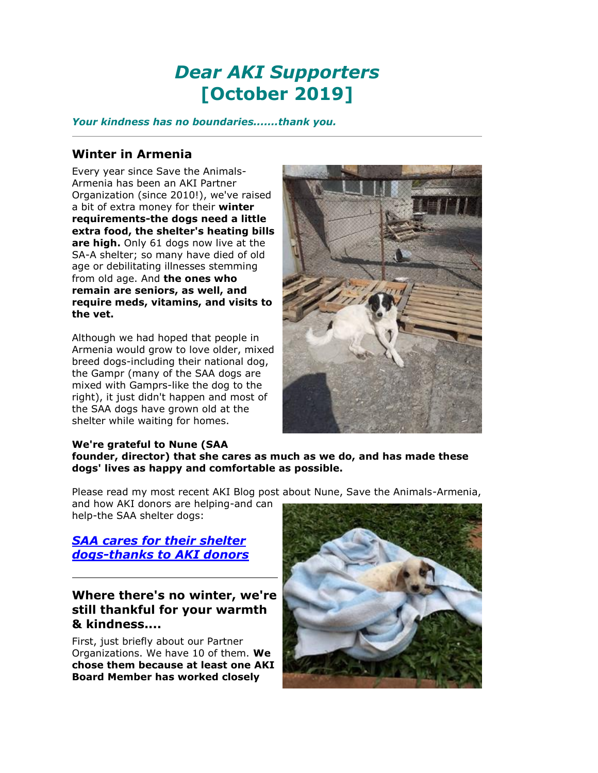# *Dear AKI Supporters* **[October 2019]**

*Your kindness has no boundaries.......thank you.*

## **Winter in Armenia**

Every year since Save the Animals-Armenia has been an AKI Partner Organization (since 2010!), we've raised a bit of extra money for their **winter requirements-the dogs need a little extra food, the shelter's heating bills are high.** Only 61 dogs now live at the SA-A shelter; so many have died of old age or debilitating illnesses stemming from old age. And **the ones who remain are seniors, as well, and require meds, vitamins, and visits to the vet.**

Although we had hoped that people in Armenia would grow to love older, mixed breed dogs-including their national dog, the Gampr (many of the SAA dogs are mixed with Gamprs-like the dog to the right), it just didn't happen and most of the SAA dogs have grown old at the shelter while waiting for homes.



#### **We're grateful to Nune (SAA**

#### **founder, director) that she cares as much as we do, and has made these dogs' lives as happy and comfortable as possible.**

Please read my most recent AKI Blog post about Nune, Save the Animals-Armenia,

and how AKI donors are helping-and can help-the SAA shelter dogs:

#### *[SAA cares for their shelter](http://cts.vresp.com/c/?AnimalKindInternatio/d32dbe5fc2/8683883b5f/aa5e4627e4)  [dogs-thanks to AKI donors](http://cts.vresp.com/c/?AnimalKindInternatio/d32dbe5fc2/8683883b5f/aa5e4627e4)*

## **Where there's no winter, we're still thankful for your warmth & kindness....**

First, just briefly about our Partner Organizations. We have 10 of them. **We chose them because at least one AKI Board Member has worked closely** 

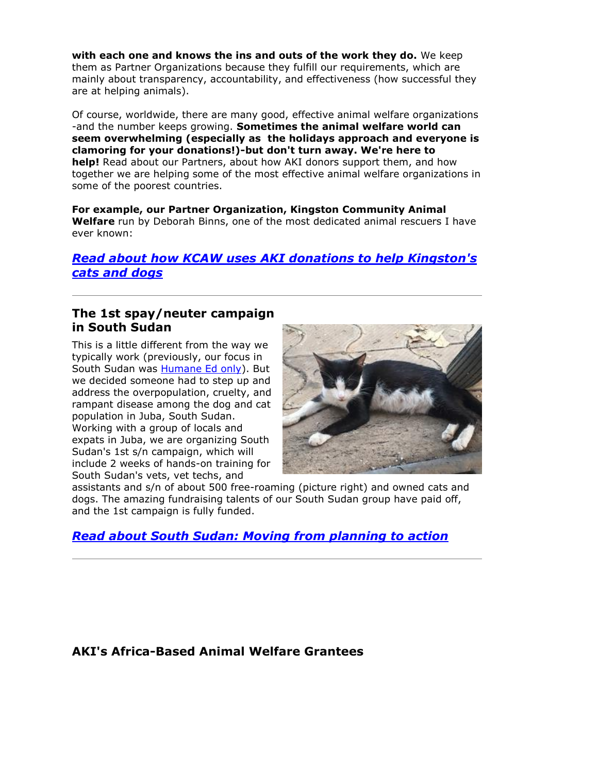**with each one and knows the ins and outs of the work they do.** We keep them as Partner Organizations because they fulfill our requirements, which are mainly about transparency, accountability, and effectiveness (how successful they are at helping animals).

Of course, worldwide, there are many good, effective animal welfare organizations -and the number keeps growing. **Sometimes the animal welfare world can seem overwhelming (especially as the holidays approach and everyone is clamoring for your donations!)-but don't turn away. We're here to help!** Read about our Partners, about how AKI donors support them, and how together we are helping some of the most effective animal welfare organizations in some of the poorest countries.

**For example, our Partner Organization, Kingston Community Animal Welfare** run by Deborah Binns, one of the most dedicated animal rescuers I have ever known:

# *[Read about how KCAW uses AKI donations to help Kingston's](http://cts.vresp.com/c/?AnimalKindInternatio/d32dbe5fc2/8683883b5f/0d0f8afda7)  [cats and dogs](http://cts.vresp.com/c/?AnimalKindInternatio/d32dbe5fc2/8683883b5f/0d0f8afda7)*

#### **The 1st spay/neuter campaign in South Sudan**

This is a little different from the way we typically work (previously, our focus in South Sudan was **Humane Ed only**). But we decided someone had to step up and address the overpopulation, cruelty, and rampant disease among the dog and cat population in Juba, South Sudan. Working with a group of locals and expats in Juba, we are organizing South Sudan's 1st s/n campaign, which will include 2 weeks of hands-on training for South Sudan's vets, vet techs, and



assistants and s/n of about 500 free-roaming (picture right) and owned cats and dogs. The amazing fundraising talents of our South Sudan group have paid off, and the 1st campaign is fully funded.

*[Read about South Sudan: Moving from planning to action](http://cts.vresp.com/c/?AnimalKindInternatio/d32dbe5fc2/8683883b5f/5c65cec1f7)*

**AKI's Africa-Based Animal Welfare Grantees**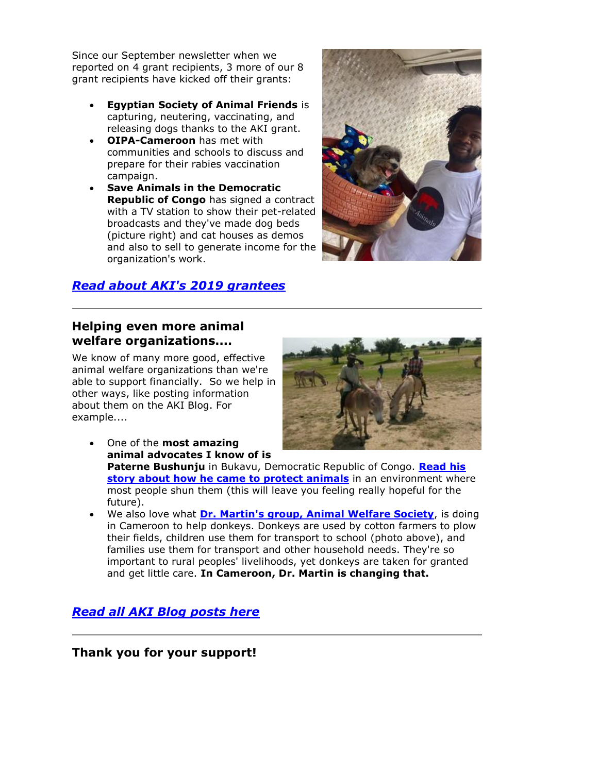Since our September newsletter when we reported on 4 grant recipients, 3 more of our 8 grant recipients have kicked off their grants:

- **Egyptian Society of Animal Friends** is capturing, neutering, vaccinating, and releasing dogs thanks to the AKI grant.
- **OIPA-Cameroon** has met with communities and schools to discuss and prepare for their rabies vaccination campaign.
- **Save Animals in the Democratic Republic of Congo** has signed a contract with a TV station to show their pet-related broadcasts and they've made dog beds (picture right) and cat houses as demos and also to sell to generate income for the organization's work.



# *[Read about AKI's 2019 grantees](http://cts.vresp.com/c/?AnimalKindInternatio/d32dbe5fc2/8683883b5f/0b2bef38e1)*

## **Helping even more animal welfare organizations....**

We know of many more good, effective animal welfare organizations than we're able to support financially. So we help in other ways, like posting information about them on the AKI Blog. For example....



- One of the **most amazing animal advocates I know of is Paterne Bushunju** in Bukavu, Democratic Republic of Congo. **[Read his](http://cts.vresp.com/c/?AnimalKindInternatio/d32dbe5fc2/8683883b5f/9312057291)  [story about how he came to protect animals](http://cts.vresp.com/c/?AnimalKindInternatio/d32dbe5fc2/8683883b5f/9312057291)** in an environment where most people shun them (this will leave you feeling really hopeful for the future).
- We also love what **[Dr. Martin's group, Animal Welfare Society](http://cts.vresp.com/c/?AnimalKindInternatio/d32dbe5fc2/8683883b5f/965de226fc)**, is doing in Cameroon to help donkeys. Donkeys are used by cotton farmers to plow their fields, children use them for transport to school (photo above), and families use them for transport and other household needs. They're so important to rural peoples' livelihoods, yet donkeys are taken for granted and get little care. **In Cameroon, Dr. Martin is changing that.**

*[Read all AKI Blog posts here](http://cts.vresp.com/c/?AnimalKindInternatio/d32dbe5fc2/8683883b5f/866d79efbf)*

**Thank you for your support!**